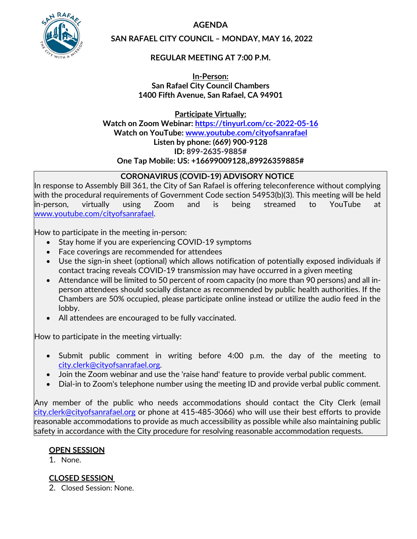**AGENDA** 



**SAN RAFAEL CITY COUNCIL – MONDAY, MAY 16, 2022** 

## **REGULAR MEETING AT 7:00 P.M.**

**In-Person: San Rafael City Council Chambers 1400 Fifth Avenue, San Rafael, CA 94901**

**Participate Virtually: Watch on Zoom Webinar: <https://tinyurl.com/cc-2022-05-16> Watch on YouTube: [www.youtube.com/cityofsanrafael](http://www.youtube.com/cityofsanrafael)  Listen by phone: (669) 900-9128 ID: 899-2635-9885# One Tap Mobile: US: +16699009128,,89926359885#** 

## **CORONAVIRUS (COVID-19) ADVISORY NOTICE**

In response to Assembly Bill 361, the City of San Rafael is offering teleconference without complying with the procedural requirements of Government Code section 54953(b)(3). This meeting will be held in-person, virtually using Zoom and is being streamed to YouTube at [www.youtube.com/cityofsanrafael.](http://www.youtube.com/cityofsanrafael)

How to participate in the meeting in-person:

- Stay home if you are experiencing COVID-19 symptoms
- Face coverings are recommended for attendees
- Use the sign-in sheet (optional) which allows notification of potentially exposed individuals if contact tracing reveals COVID-19 transmission may have occurred in a given meeting
- Attendance will be limited to 50 percent of room capacity (no more than 90 persons) and all inperson attendees should socially distance as recommended by public health authorities. If the Chambers are 50% occupied, please participate online instead or utilize the audio feed in the lobby.
- All attendees are encouraged to be fully vaccinated.

How to participate in the meeting virtually:

- Submit public comment in writing before 4:00 p.m. the day of the meeting to [city.clerk@cityofsanrafael.org.](mailto:city.clerk@cityofsanrafael.org)
- Join the Zoom webinar and use the 'raise hand' feature to provide verbal public comment.
- Dial-in to Zoom's telephone number using the meeting ID and provide verbal public comment.

Any member of the public who needs accommodations should contact the City Clerk (email [city.clerk@cityofsanrafael.org](mailto:city.clerk@cityofsanrafael.org) or phone at 415-485-3066) who will use their best efforts to provide reasonable accommodations to provide as much accessibility as possible while also maintaining public safety in accordance with the City procedure for resolving reasonable accommodation requests.

## **OPEN SESSION**

1. None.

# **CLOSED SESSION**

2. Closed Session: None.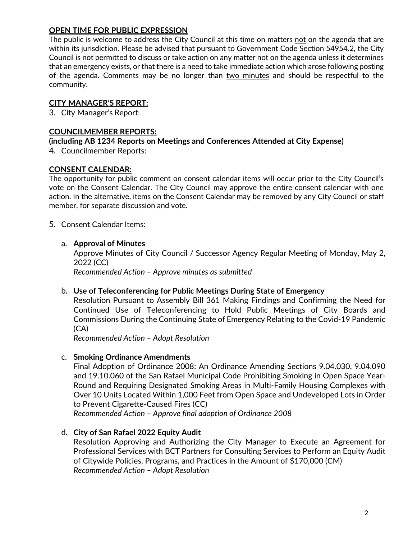## **OPEN TIME FOR PUBLIC EXPRESSION**

The public is welcome to address the City Council at this time on matters not on the agenda that are within its jurisdiction. Please be advised that pursuant to Government Code Section 54954.2, the City Council is not permitted to discuss or take action on any matter not on the agenda unless it determines that an emergency exists, or that there is a need to take immediate action which arose following posting of the agenda. Comments may be no longer than two minutes and should be respectful to the community.

## **CITY MANAGER'S REPORT:**

3. City Manager's Report:

### **COUNCILMEMBER REPORTS:**

#### **(including AB 1234 Reports on Meetings and Conferences Attended at City Expense)**

4. Councilmember Reports:

#### **CONSENT CALENDAR:**

The opportunity for public comment on consent calendar items will occur prior to the City Council's vote on the Consent Calendar. The City Council may approve the entire consent calendar with one action. In the alternative, items on the Consent Calendar may be removed by any City Council or staff member, for separate discussion and vote.

#### 5. Consent Calendar Items:

#### a. **Approval of Minutes**

Approve Minutes of City Council / Successor Agency Regular Meeting of Monday, May 2, 2022 (CC) *Recommended Action – Approve minutes as submitted*

#### b. **Use of Teleconferencing for Public Meetings During State of Emergency**

Resolution Pursuant to Assembly Bill 361 Making Findings and Confirming the Need for Continued Use of Teleconferencing to Hold Public Meetings of City Boards and Commissions During the Continuing State of Emergency Relating to the Covid-19 Pandemic (CA)

*Recommended Action – Adopt Resolution*

#### c. **Smoking Ordinance Amendments**

Final Adoption of Ordinance 2008: An Ordinance Amending Sections 9.04.030, 9.04.090 and 19.10.060 of the San Rafael Municipal Code Prohibiting Smoking in Open Space Year-Round and Requiring Designated Smoking Areas in Multi-Family Housing Complexes with Over 10 Units Located Within 1,000 Feet from Open Space and Undeveloped Lots in Order to Prevent Cigarette-Caused Fires (CC)

*Recommended Action – Approve final adoption of Ordinance 2008* 

## d. **City of San Rafael 2022 Equity Audit**

Resolution Approving and Authorizing the City Manager to Execute an Agreement for Professional Services with BCT Partners for Consulting Services to Perform an Equity Audit of Citywide Policies, Programs, and Practices in the Amount of \$170,000 (CM) *Recommended Action – Adopt Resolution*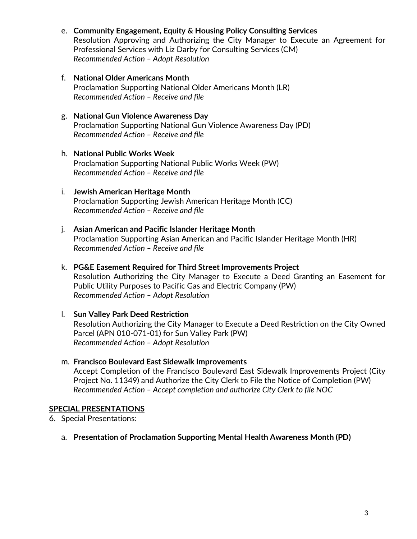- e. **Community Engagement, Equity & Housing Policy Consulting Services** Resolution Approving and Authorizing the City Manager to Execute an Agreement for Professional Services with Liz Darby for Consulting Services (CM) *Recommended Action – Adopt Resolution*
- f. **National Older Americans Month** Proclamation Supporting National Older Americans Month (LR) *Recommended Action – Receive and file*
- g. **National Gun Violence Awareness Day** Proclamation Supporting National Gun Violence Awareness Day (PD) *Recommended Action – Receive and file*
- h. **National Public Works Week** Proclamation Supporting National Public Works Week (PW) *Recommended Action – Receive and file*
- i. **Jewish American Heritage Month** Proclamation Supporting Jewish American Heritage Month (CC) *Recommended Action – Receive and file*
- j. **Asian American and Pacific Islander Heritage Month** Proclamation Supporting Asian American and Pacific Islander Heritage Month (HR) *Recommended Action – Receive and file*
- k. **PG&E Easement Required for Third Street Improvements Project** Resolution Authorizing the City Manager to Execute a Deed Granting an Easement for Public Utility Purposes to Pacific Gas and Electric Company (PW) *Recommended Action – Adopt Resolution*
- l. **Sun Valley Park Deed Restriction** Resolution Authorizing the City Manager to Execute a Deed Restriction on the City Owned Parcel (APN 010-071-01) for Sun Valley Park (PW) *Recommended Action – Adopt Resolution*
- m. **Francisco Boulevard East Sidewalk Improvements** Accept Completion of the Francisco Boulevard East Sidewalk Improvements Project (City Project No. 11349) and Authorize the City Clerk to File the Notice of Completion (PW) *Recommended Action – Accept completion and authorize City Clerk to file NOC*

## **SPECIAL PRESENTATIONS**

6. Special Presentations:

a. **Presentation of Proclamation Supporting Mental Health Awareness Month (PD)**